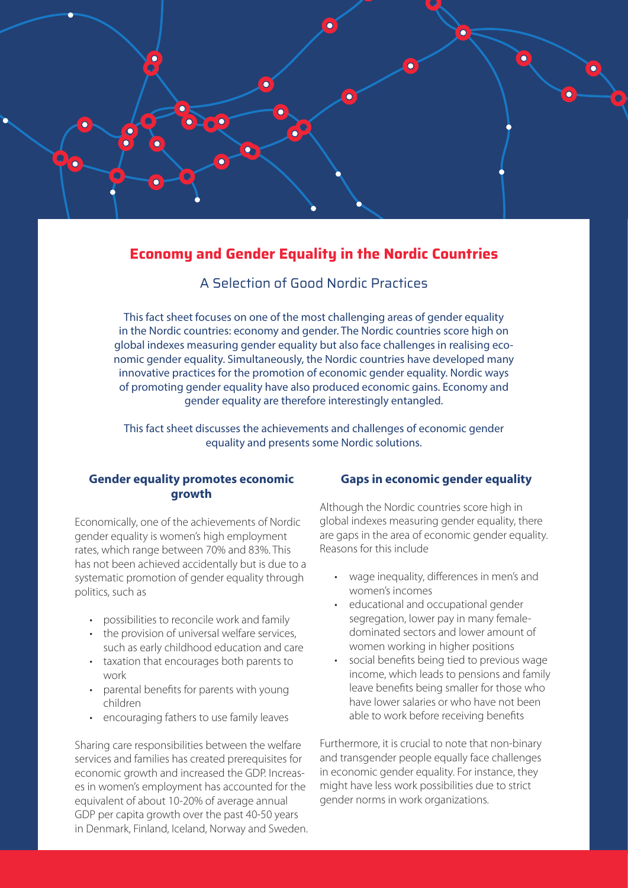

# **Economy and Gender Equality in the Nordic Countries**

A Selection of Good Nordic Practices

This fact sheet focuses on one of the most challenging areas of gender equality in the Nordic countries: economy and gender. The Nordic countries score high on global indexes measuring gender equality but also face challenges in realising economic gender equality. Simultaneously, the Nordic countries have developed many innovative practices for the promotion of economic gender equality. Nordic ways of promoting gender equality have also produced economic gains. Economy and gender equality are therefore interestingly entangled.

This fact sheet discusses the achievements and challenges of economic gender equality and presents some Nordic solutions.

## **Gender equality promotes economic growth**

Economically, one of the achievements of Nordic gender equality is women's high employment rates, which range between 70% and 83%. This has not been achieved accidentally but is due to a systematic promotion of gender equality through politics, such as

- possibilities to reconcile work and family
- the provision of universal welfare services, such as early childhood education and care
- taxation that encourages both parents to work
- parental benefits for parents with young children
- encouraging fathers to use family leaves

Sharing care responsibilities between the welfare services and families has created prerequisites for economic growth and increased the GDP. Increases in women's employment has accounted for the equivalent of about 10-20% of average annual GDP per capita growth over the past 40-50 years in Denmark, Finland, Iceland, Norway and Sweden.

### **Gaps in economic gender equality**

Although the Nordic countries score high in global indexes measuring gender equality, there are gaps in the area of economic gender equality. Reasons for this include

- wage inequality, differences in men's and women's incomes
- educational and occupational gender segregation, lower pay in many female dominated sectors and lower amount of women working in higher positions
- social benefits being tied to previous wage income, which leads to pensions and family leave benefits being smaller for those who have lower salaries or who have not been able to work before receiving benefits

Furthermore, it is crucial to note that non-binary and transgender people equally face challenges in economic gender equality. For instance, they might have less work possibilities due to strict gender norms in work organizations.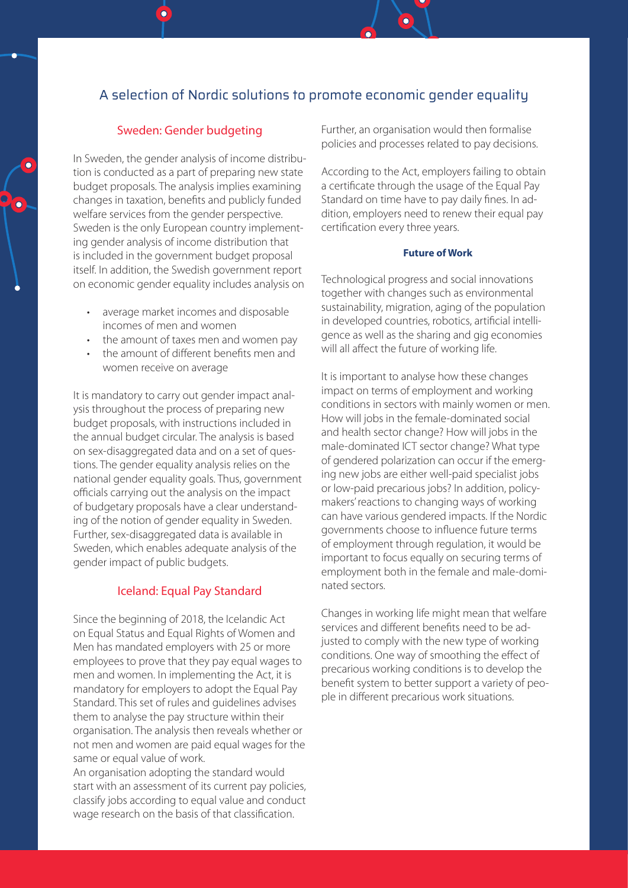# A selection of Nordic solutions to promote economic gender equality

### Sweden: Gender budgeting

In Sweden, the gender analysis of income distribution is conducted as a part of preparing new state budget proposals. The analysis implies examining changes in taxation, benefits and publicly funded welfare services from the gender perspective. Sweden is the only European country implementing gender analysis of income distribution that is included in the government budget proposal itself. In addition, the Swedish government report on economic gender equality includes analysis on

- average market incomes and disposable incomes of men and women
- the amount of taxes men and women pay
- the amount of different benefits men and women receive on average

It is mandatory to carry out gender impact analysis throughout the process of preparing new budget proposals, with instructions included in the annual budget circular. The analysis is based on sex-disaggregated data and on a set of questions. The gender equality analysis relies on the national gender equality goals. Thus, government officials carrying out the analysis on the impact of budgetary proposals have a clear understanding of the notion of gender equality in Sweden. Further, sex-disaggregated data is available in Sweden, which enables adequate analysis of the gender impact of public budgets.

### Iceland: Equal Pay Standard

Since the beginning of 2018, the Icelandic Act on Equal Status and Equal Rights of Women and Men has mandated employers with 25 or more employees to prove that they pay equal wages to men and women. In implementing the Act, it is mandatory for employers to adopt the Equal Pay Standard. This set of rules and guidelines advises them to analyse the pay structure within their organisation. The analysis then reveals whether or not men and women are paid equal wages for the same or equal value of work.

An organisation adopting the standard would start with an assessment of its current pay policies, classify jobs according to equal value and conduct wage research on the basis of that classification.

Further, an organisation would then formalise policies and processes related to pay decisions.

According to the Act, employers failing to obtain a certificate through the usage of the Equal Pay Standard on time have to pay daily fines. In addition, employers need to renew their equal pay certification every three years.

### **Future of Work**

Technological progress and social innovations together with changes such as environmental sustainability, migration, aging of the population in developed countries, robotics, artificial intelligence as well as the sharing and gig economies will all affect the future of working life.

It is important to analyse how these changes impact on terms of employment and working conditions in sectors with mainly women or men. How will jobs in the female-dominated social and health sector change? How will jobs in the male-dominated ICT sector change? What type of gendered polarization can occur if the emerging new jobs are either well-paid specialist jobs or low-paid precarious jobs? In addition, policymakers' reactions to changing ways of working can have various gendered impacts. If the Nordic governments choose to influence future terms of employment through regulation, it would be important to focus equally on securing terms of employment both in the female and male-dominated sectors.

Changes in working life might mean that welfare services and different benefits need to be adjusted to comply with the new type of working conditions. One way of smoothing the effect of precarious working conditions is to develop the benefit system to better support a variety of people in different precarious work situations.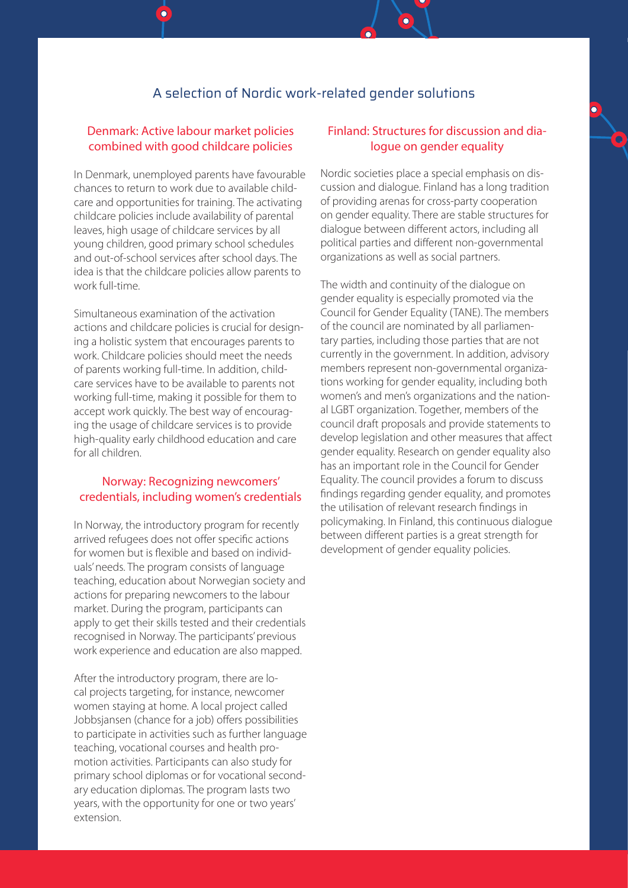## A selection of Nordic work-related gender solutions

## Denmark: Active labour market policies combined with good childcare policies

In Denmark, unemployed parents have favourable chances to return to work due to available childcare and opportunities for training. The activating childcare policies include availability of parental leaves, high usage of childcare services by all young children, good primary school schedules and out-of-school services after school days. The idea is that the childcare policies allow parents to work full-time.

Simultaneous examination of the activation actions and childcare policies is crucial for designing a holistic system that encourages parents to work. Childcare policies should meet the needs of parents working full-time. In addition, childcare services have to be available to parents not working full-time, making it possible for them to accept work quickly. The best way of encouraging the usage of childcare services is to provide high-quality early childhood education and care for all children.

## Norway: Recognizing newcomers' credentials, including women's credentials

In Norway, the introductory program for recently arrived refugees does not offer specific actions for women but is flexible and based on individuals' needs. The program consists of language teaching, education about Norwegian society and actions for preparing newcomers to the labour market. During the program, participants can apply to get their skills tested and their credentials recognised in Norway. The participants' previous work experience and education are also mapped.

After the introductory program, there are local projects targeting, for instance, newcomer women staying at home. A local project called Jobbsjansen (chance for a job) offers possibilities to participate in activities such as further language teaching, vocational courses and health promotion activities. Participants can also study for primary school diplomas or for vocational secondary education diplomas. The program lasts two years, with the opportunity for one or two years' extension.

### Finland: Structures for discussion and dialoque on gender equality

Nordic societies place a special emphasis on discussion and dialogue. Finland has a long tradition of providing arenas for cross-party cooperation on gender equality. There are stable structures for dialogue between different actors, including all political parties and different non-governmental organizations as well as social partners.

The width and continuity of the dialogue on gender equality is especially promoted via the Council for Gender Equality (TANE). The members of the council are nominated by all parliamentary parties, including those parties that are not currently in the government. In addition, advisory members represent non-governmental organizations working for gender equality, including both women's and men's organizations and the national LGBT organization. Together, members of the council draft proposals and provide statements to develop legislation and other measures that affect gender equality. Research on gender equality also has an important role in the Council for Gender Equality. The council provides a forum to discuss findings regarding gender equality, and promotes the utilisation of relevant research findings in policymaking. In Finland, this continuous dialogue between different parties is a great strength for development of gender equality policies.